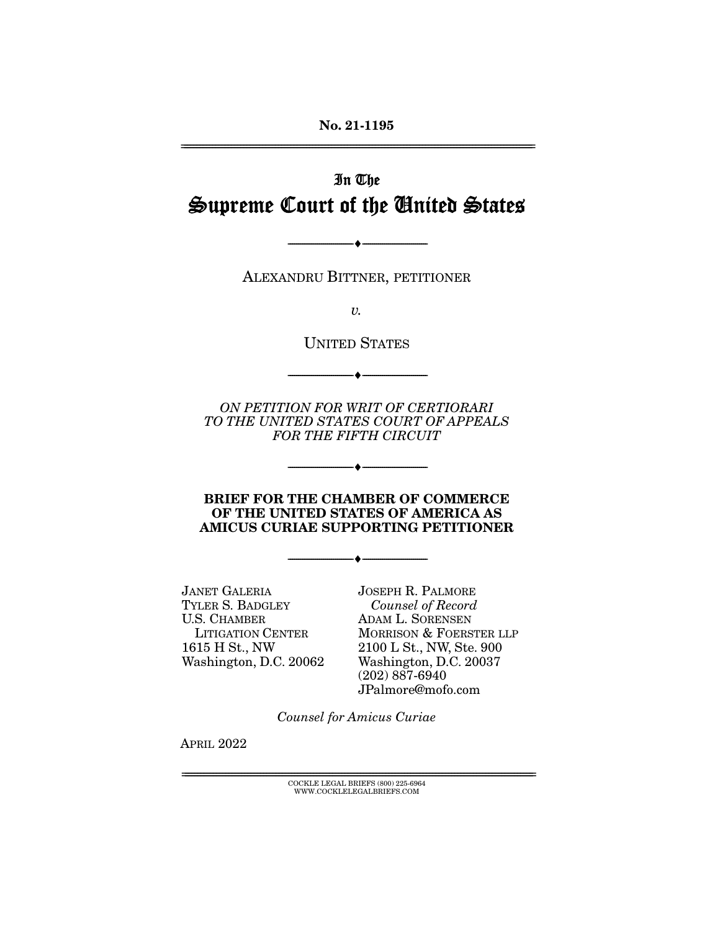**No. 21-1195** 

# In The Supreme Court of the United States

ALEXANDRU BITTNER, PETITIONER

--------------------------------- ♦ ---------------------------------

 $\upsilon$ .

UNITED STATES

ON PETITION FOR WRIT OF CERTIORARI TO THE UNITED STATES COURT OF APPEALS FOR THE FIFTH CIRCUIT

 $\overbrace{\hspace{27mm}}$   $\overbrace{\hspace{27mm}}$ 

#### **BRIEF FOR THE CHAMBER OF COMMERCE OF THE UNITED STATES OF AMERICA AS AMICUS CURIAE SUPPORTING PETITIONER**

 $\overbrace{\hspace{2.5cm}}$   $\overbrace{\hspace{2.5cm}}$ 

--------------------------------- ♦ ---------------------------------

JANET GALERIA<br>TYLER S. BADGLEY U.S. CHAMBER **LITIGATION CENTER**  $1615$  H St., NW washington, D.C.  $W(2, 2) = 20062$ 

Counsel of Record ADAM L. SORENSEN<br>MORRISON & FOERSTER LLP 2100 L St., NW, Ste. 900 Washington, D.C. 20037  $(202) 887 - 6940$  $JPalmore@mofo.com$ 

JPalmore@mofo.com

Counsel for Amicus Curiae

 $\overline{\phantom{a}}$ 

 $\text{COCKLE LEGAL BRIEFS}$  (800) 225-6964 WWW.COCKLELEGALBRIEFS.COM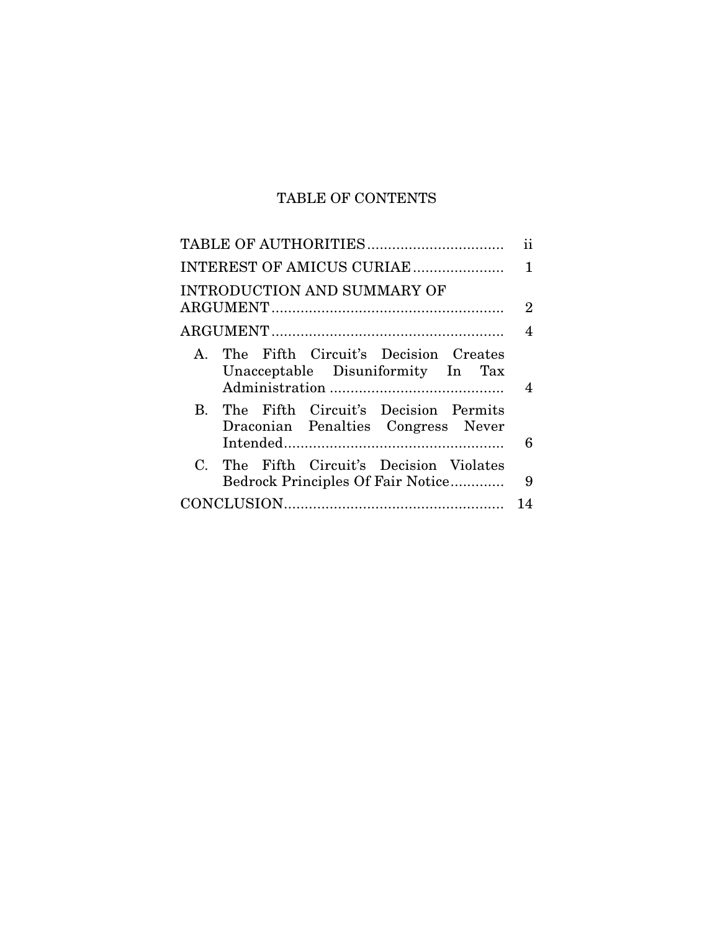# TABLE OF CONTENTS

|              |                                                                            | 11             |  |
|--------------|----------------------------------------------------------------------------|----------------|--|
|              | INTEREST OF AMICUS CURIAE                                                  | 1              |  |
|              | INTRODUCTION AND SUMMARY OF                                                |                |  |
|              |                                                                            | $\overline{2}$ |  |
|              |                                                                            |                |  |
| $\mathbf{A}$ | The Fifth Circuit's Decision Creates<br>Unacceptable Disuniformity In Tax  |                |  |
|              |                                                                            | 4              |  |
| $\mathbf{B}$ | The Fifth Circuit's Decision Permits<br>Draconian Penalties Congress Never |                |  |
|              |                                                                            | 6              |  |
| $C_{\cdot}$  | The Fifth Circuit's Decision Violates<br>Bedrock Principles Of Fair Notice | 9              |  |
|              |                                                                            | 14             |  |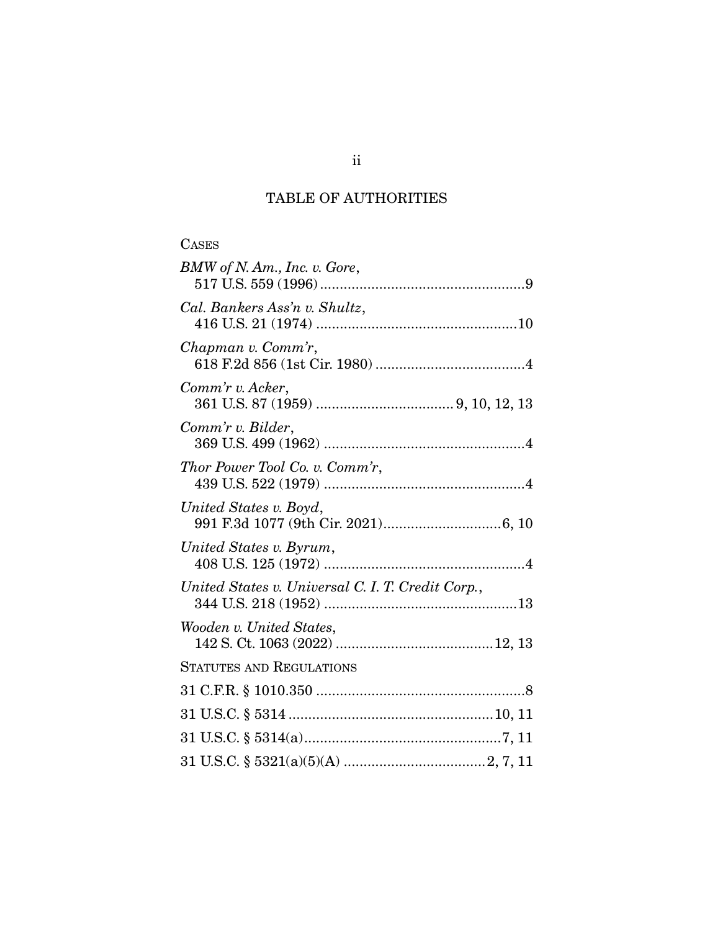# TABLE OF AUTHORITIES

| <b>CASES</b> |
|--------------|
|              |

| BMW of N. Am., Inc. v. Gore,                      |
|---------------------------------------------------|
| Cal. Bankers Ass'n v. Shultz,                     |
| Chapman v. Comm'r,                                |
| Comm'r v. Acker,                                  |
| Comm'r v. Bilder,                                 |
| Thor Power Tool Co. v. Comm'r,                    |
| United States v. Boyd,                            |
| United States v. Byrum,                           |
| United States v. Universal C. I. T. Credit Corp., |
| Wooden v. United States,                          |
| <b>STATUTES AND REGULATIONS</b>                   |
|                                                   |
|                                                   |
|                                                   |
|                                                   |
|                                                   |

ii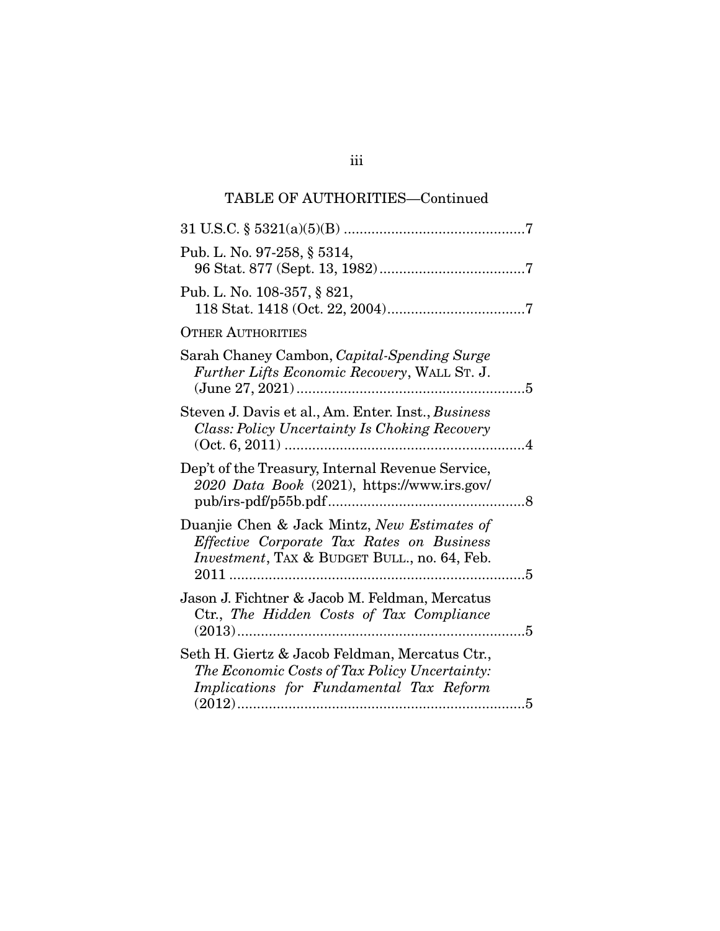# TABLE OF AUTHORITIES—Continued

| Pub. L. No. 97-258, § 5314,                                                                                                                |
|--------------------------------------------------------------------------------------------------------------------------------------------|
| Pub. L. No. 108-357, § 821,                                                                                                                |
| <b>OTHER AUTHORITIES</b>                                                                                                                   |
| Sarah Chaney Cambon, Capital-Spending Surge<br>Further Lifts Economic Recovery, WALL ST. J.                                                |
| Steven J. Davis et al., Am. Enter. Inst., Business<br>Class: Policy Uncertainty Is Choking Recovery<br>. 4                                 |
| Dep't of the Treasury, Internal Revenue Service,<br>2020 Data Book (2021), https://www.irs.gov/                                            |
| Duanjie Chen & Jack Mintz, New Estimates of<br>Effective Corporate Tax Rates on Business<br>Investment, TAX & BUDGET BULL., no. 64, Feb.   |
| Jason J. Fichtner & Jacob M. Feldman, Mercatus<br>Ctr., The Hidden Costs of Tax Compliance                                                 |
| Seth H. Giertz & Jacob Feldman, Mercatus Ctr.,<br>The Economic Costs of Tax Policy Uncertainty:<br>Implications for Fundamental Tax Reform |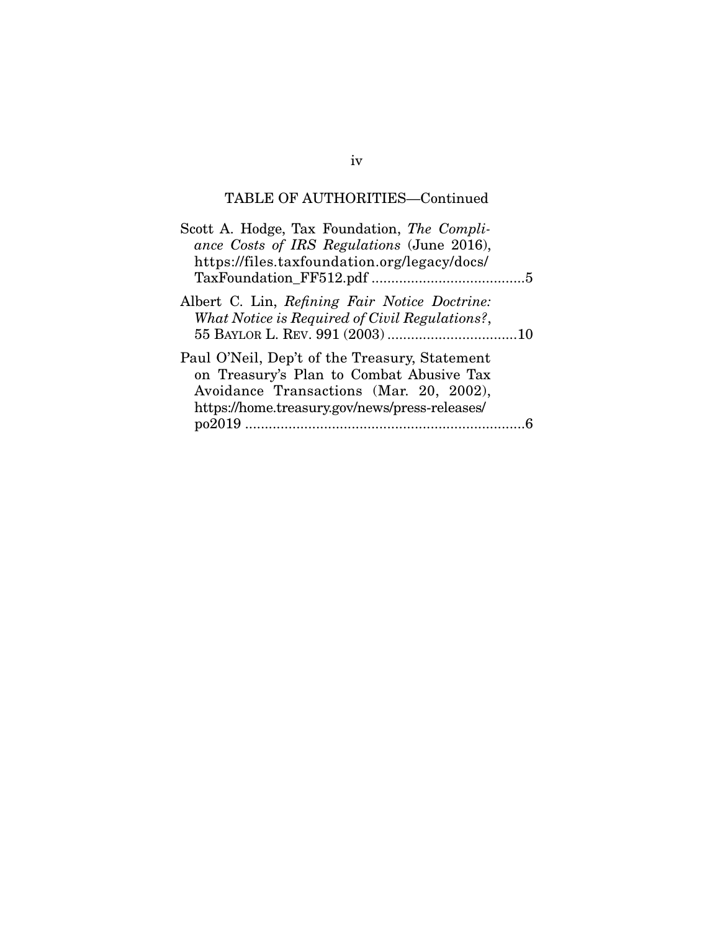# TABLE OF AUTHORITIES—Continued

| Scott A. Hodge, Tax Foundation, The Compli-<br>ance Costs of IRS Regulations (June 2016),<br>https://files.taxfoundation.org/legacy/docs/                                              |  |
|----------------------------------------------------------------------------------------------------------------------------------------------------------------------------------------|--|
| Albert C. Lin, Refining Fair Notice Doctrine:<br>What Notice is Required of Civil Regulations?,                                                                                        |  |
| Paul O'Neil, Dep't of the Treasury, Statement<br>on Treasury's Plan to Combat Abusive Tax<br>Avoidance Transactions (Mar. 20, 2002),<br>https://home.treasury.gov/news/press-releases/ |  |

iv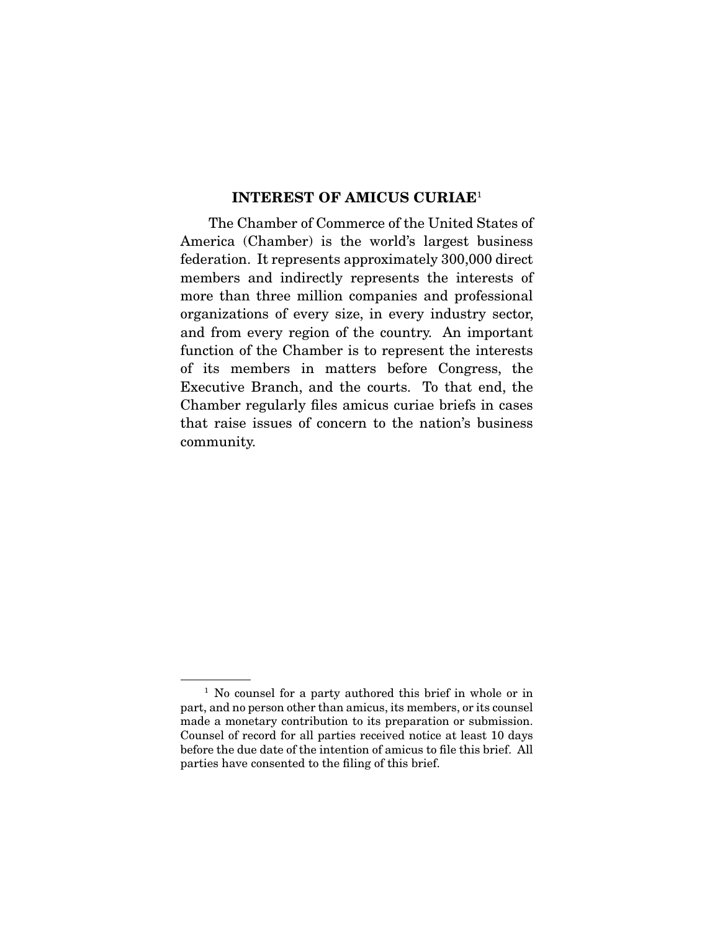#### **INTEREST OF AMICUS CURIAE**1

The Chamber of Commerce of the United States of America (Chamber) is the world's largest business federation. It represents approximately 300,000 direct members and indirectly represents the interests of more than three million companies and professional organizations of every size, in every industry sector, and from every region of the country. An important function of the Chamber is to represent the interests of its members in matters before Congress, the Executive Branch, and the courts. To that end, the Chamber regularly files amicus curiae briefs in cases that raise issues of concern to the nation's business community. community.

 $1$  No counsel for a party authored this brief in whole or in part, and no person other than amicus, its members, or its counsel made a monetary contribution to its preparation or submission. Counsel of record for all parties received notice at least 10 days before the due date of the intention of amicus to file this brief. All parties have consented to the filing of this brief. parties have consented to the filing of this brief.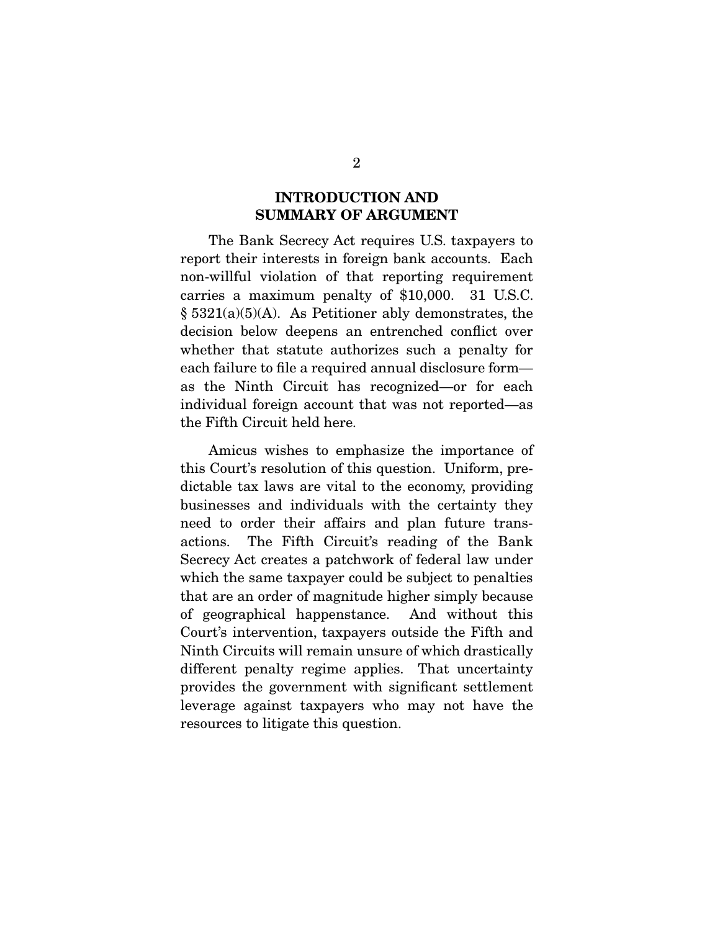### **INTRODUCTION AND SUMMARY OF ARGUMENT**

The Bank Secrecy Act requires U.S. taxpayers to report their interests in foreign bank accounts. Each non-willful violation of that reporting requirement carries a maximum penalty of  $$10,000$ . 31 U.S.C.  $\S$  5321(a)(5)(A). As Petitioner ably demonstrates, the decision below deepens an entrenched conflict over whether that statute authorizes such a penalty for each failure to file a required annual disclosure formas the Ninth Circuit has recognized—or for each individual foreign account that was not reported—as the Fifth Circuit held here. the Fifth Circuit held here.

Amicus wishes to emphasize the importance of this Court's resolution of this question. Uniform, predictable tax laws are vital to the economy, providing. businesses and individuals with the certainty they need to order their affairs and plan future transactions. The Fifth Circuit's reading of the Bank Secrecy Act creates a patchwork of federal law under which the same taxpayer could be subject to penalties that are an order of magnitude higher simply because of geographical happenstance. And without this Court's intervention, taxpayers outside the Fifth and Ninth Circuits will remain unsure of which drastically different penalty regime applies. That uncertainty provides the government with significant settlement leverage against taxpayers who may not have the  $\frac{1}{2}$ resources to litigate this question.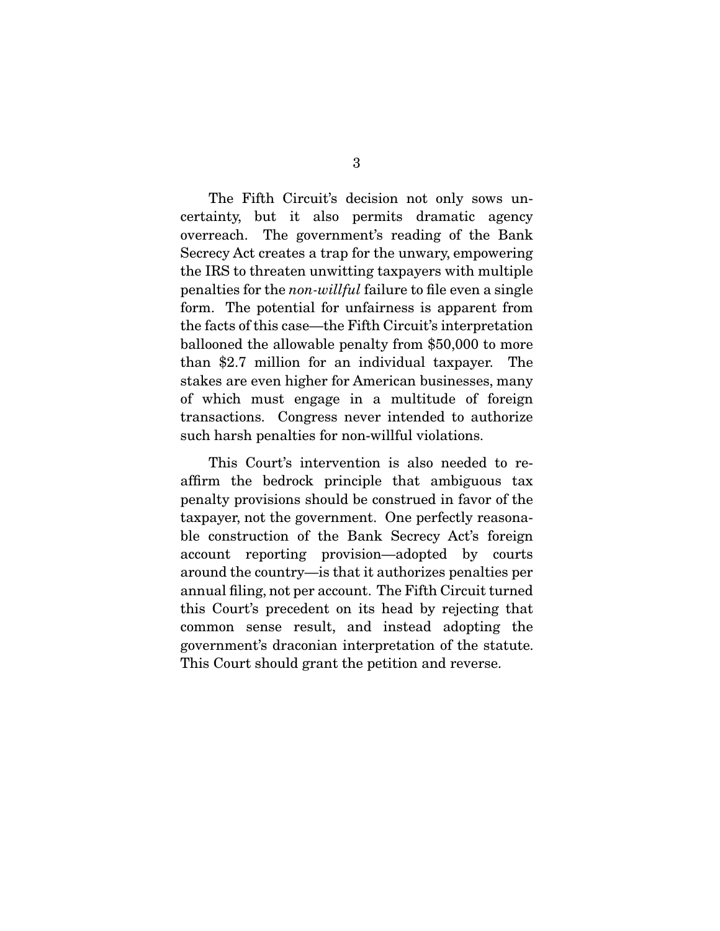The Fifth Circuit's decision not only sows uncertainty, but it also permits dramatic agency overreach. The government's reading of the Bank Secrecy Act creates a trap for the unwary, empowering the IRS to threaten unwitting taxpayers with multiple penalties for the *non-willful* failure to file even a single form. The notatiol for unformoss is appenent from form. The potential for unfairness is apparent from<br>the facts of this case—the Fifth Circuit's interpretation ballooned the allowable penalty from \$50,000 to more than \$2.7 million for an individual taxpayer. The stakes are even higher for American businesses, many of which must engage in a multitude of foreign transactions. Congress never intended to authorize

such harsh penalties for non-willful violations. This Court's intervention is also needed to reaffirm the bedrock principle that ambiguous tax penalty provisions should be construed in favor of the taxpayer, not the government. One perfectly reasonable construction of the Bank Secrecy Act's foreign account reporting provision—adopted by courts around the country—is that it authorizes penalties per annual filing, not per account. The Fifth Circuit turned this Court's precedent on its head by rejecting that common sense result, and instead adopting the government's draconian interpretation of the statute. This Court should grant the petition and reverse. This Court should grant the petition and reverse.

such harsh penalties for non-willful violations.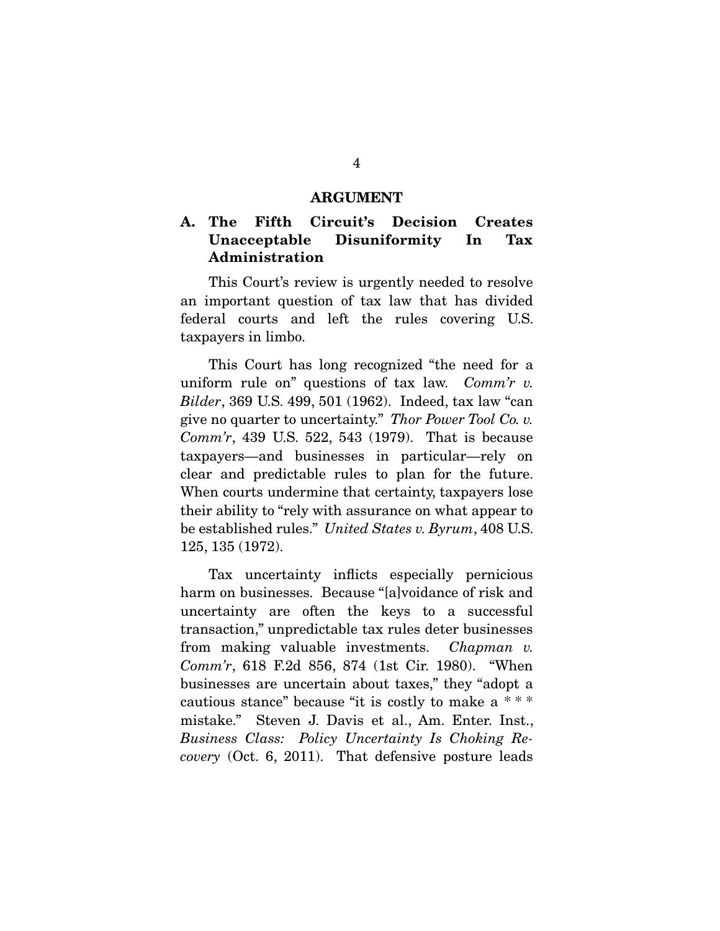#### **ARGUMENT**

## **A. The Fifth Circuit's Decision Creates Unacceptable Disuniformity In Tax Administration**

This Court's review is urgently needed to resolve<br>an important question of tax law that has divided federal courts and left the rules covering U.S. taxpayers in limbo.  $t^{\text{max}}$  is a limit of

uniform rule on" questions of tax law. Comm'r v.<br>Bilder 360 US 400 501 (1063). Indeed tax law "con-Bilder, 369 U.S. 499, 501 (1962). Indeed, tax law "can give no quarter to uncertainty." Thor Power Tool Co. v. *Comm'r*, 439 U.S. 522, 543 (1979). That is because taxpayers—and businesses in particular—rely on clear and predictable rules to plan for the future. When courts undermine that certainty, taxpayers lose their ability to "rely with assurance on what appear to the established rules." United States v. Byrum,  $408$  U.S.  $125, 135, (1972)$ 125, 135 (1972).

Tax uncertainty inflicts especially pernicious<br>harm on businesses. Because "[a]voidance of risk and uncertainty are often the keys to a successful transaction," unpredictable tax rules deter businesses from making valuable investments. Chapman v.<br>Comm'r 618 F.2d 856 874 (1st Cir. 1980) "When  $Comm\,r$ , 618 F.2d 856, 874 (1st Cir. 1980). "When businesses are uncertain about taxes," they "adopt a cautious stance" because "it is costly to make a  $***$ mistake." Steven J. Davis et al., Am. Enter. Inst., mistake. Steven Davis et al., Am. Enter mars, Business, Business Class: Policy Uncertainty Is Choking Recovery (Oct. 6, 2011). That defensive posture leads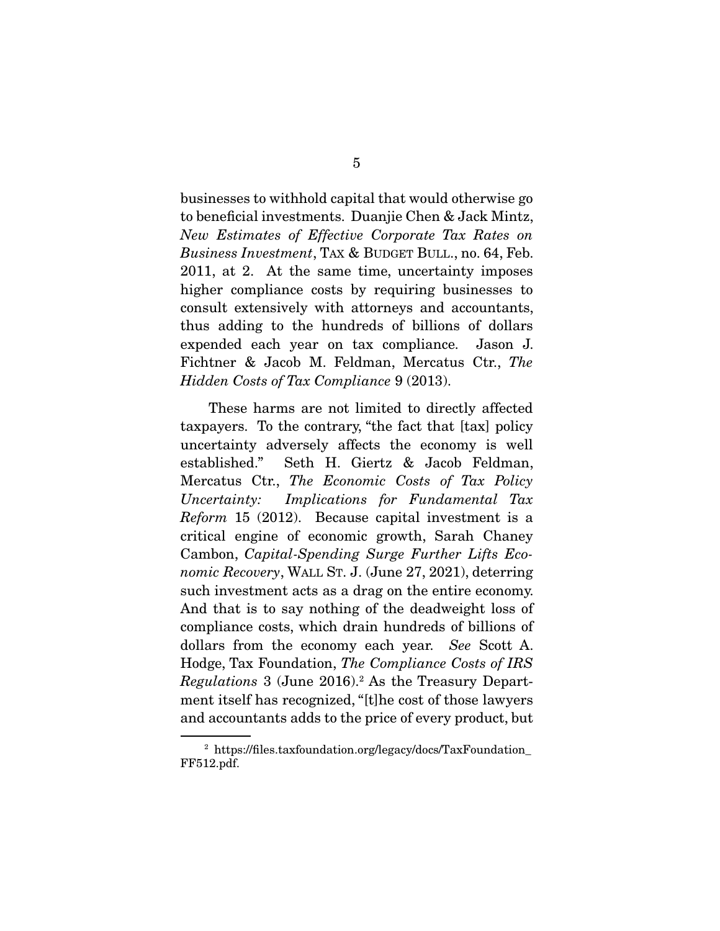businesses to withhold capital that would otherwise go<br>to beneficial investments. Duanjie Chen & Jack Mintz, New Estimates of Effective Corporate Tax Rates on Business Investment, TAX & BUDGET BULL., no. 64, Feb. 2011, at 2. At the same time, uncertainty imposes higher compliance costs by requiring businesses to consult extensively with attorneys and accountants, thus adding to the hundreds of billions of dollars expended each year on tax compliance. Jason J. Fichtner & Jacob M. Feldman, Mercatus Ctr., The<br>Hidden Costs of Tax Compliance 9 (2013) Hidden Costs of Tax Compliance 9 (2013).

These harms are not limited to directly affected taxpayers. To the contrary, "the fact that [tax] policy uncertainty adversely affects the economy is well established." Seth H. Giertz & Jacob Feldman, Mercatus Ctr., The Economic Costs of Tax Policy Uncertainty: Implications for Fundamental Tax Reform 15 (2012). Because capital investment is a critical engine of economic growth, Sarah Chaney Cambon, Capital-Spending Surge Further Lifts Eco-<br>nomic Becovery WALL ST, L. (June 27, 2021) determing nomic Recovery, WALL ST. J. (June 27, 2021), deterring such investment acts as a drag on the entire economy. And that is to say nothing of the deadweight loss of compliance costs, which drain hundreds of billions of dollars from the economy each year. See Scott A.<br>Hodge Tax Foundation *The Compliance Costs of IBS* Hodge, Tax Foundation, The Compliance Costs of IRS Regulations  $3$  (June 2016).<sup>2</sup> As the Treasury Department itself has recognized, "[t] he cost of those lawyers and accountants adds to the price of every product, but and accountants adds to the price of every product, but

<sup>2</sup> https://files.taxfoundation.org/legacy/docs/TaxFoundation\_ FF512.pdf.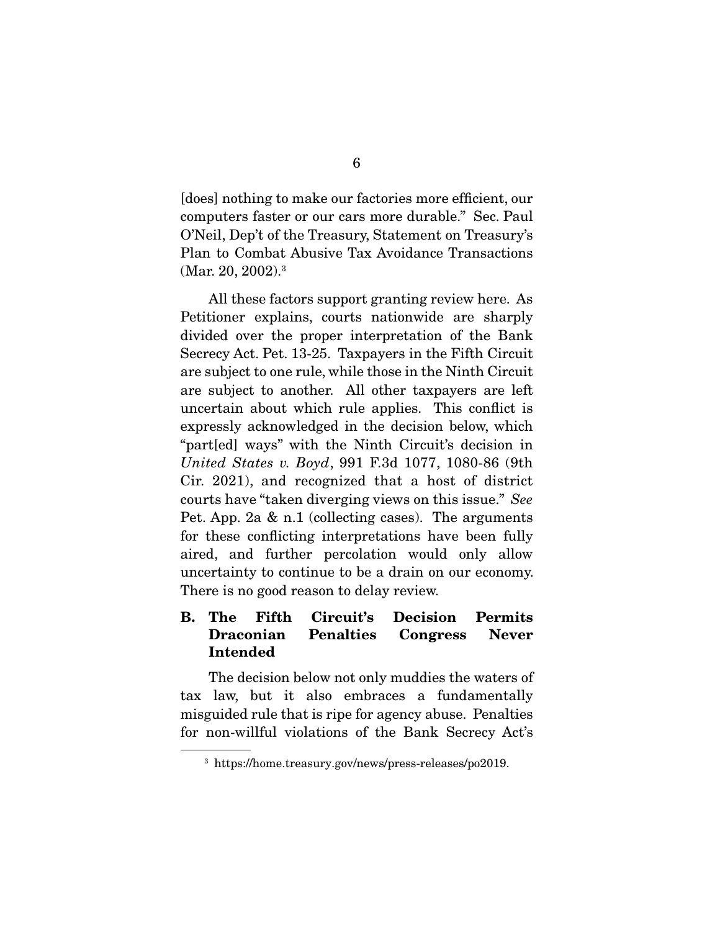[does] nothing to make our factories more efficient, our O'Neil, Dep't of the Treasury, Statement on Treasury's Plan to Combat Abusive Tax Avoidance Transactions  $(Mar 20, 2002)$ <sup>3</sup>  $(Mar. 20, 2002).$ 

All these factors support granting review here. As<br>Petitioner explains, courts nationwide are sharply divided over the proper interpretation of the Bank Secrecy Act. Pet. 13-25. Taxpayers in the Fifth Circuit are subject to one rule, while those in the Ninth Circuit are subject to another. All other taxpayers are left uncertain about which rule applies. This conflict is expressly acknowledged in the decision below, which "part[ed] ways" with the Ninth Circuit's decision in  $United States v. Boyd, 991 F.3d 1077, 1080-86 (9th  
\nCir, 2021) and recognized that a host of district$ courts have "taken diverging views on this issue." See<br>Bet, App. 2026, n. 1 (collecting cases). The arguments Pet. App. 2a & n.1 (collecting cases). The arguments for these conflicting interpretations have been fully aired, and further percolation would only allow and the continue to be a drain on our economy.  $U_{\text{max}}$  is no good roason to dolay rayiow. There is no good reason to delay review.

## **B. The Fifth Circuit's Decision Permits Draconian Penalties Congress Never Intended**

The decision below not only muddies the waters of<br>tax law, but it also embraces a fundamentally misguided rule that is ripe for agency abuse. Penalties for non-willful violations of the Bank Secrecy Act's. for non-willful violations of the Bank Secrecy Act's

<sup>3</sup> https://home.treasury.gov/news/press-releases/po2019.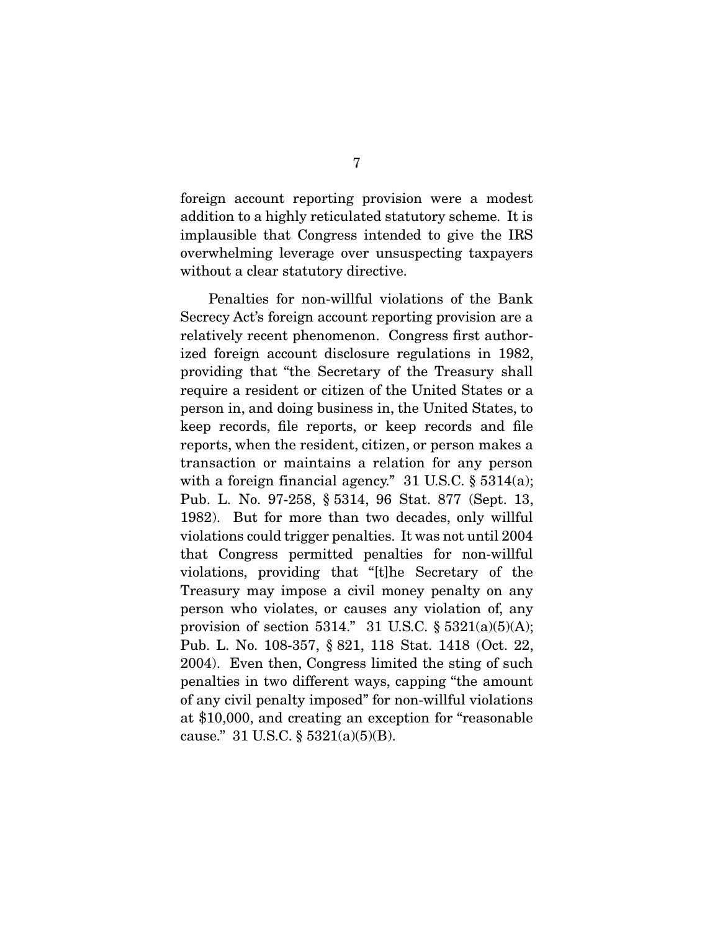foreign account reporting provision were a modest addition to a highly reticulated statutory scheme. It is implausible that Congress intended to give the IRS overwhelming leverage over unsuspecting taxpayers  $\frac{1}{2}$  is a set  $\frac{1}{2}$  in the set of the set of the set of the set of the set of the set of the set of the set of the set of the set of the set of the set of the set of the set of the set of the set of the set of th with a clear statutory directive.

Penalties for non-willful violations of the Bank<br>Secrecy Act's foreign account reporting provision are a relatively recent phenomenon. Congress first authorized foreign account disclosure regulations in 1982, providing that "the Secretary of the Treasury shall require a resident or citizen of the United States or a person in, and doing business in, the United States, to keep records, file reports, or keep records and file reports, when the resident, citizen, or person makes a transaction or maintains a relation for any person with a foreign financial agency."  $31$  U.S.C.  $\S 5314(a)$ ; Pub. L. No. 97-258, § 5314, 96 Stat. 877 (Sept. 13, 1982). But for more than two decades, only willful violations could trigger penalties. It was not until 2004 that Congress permitted penalties for non-willful violations, providing that "[t]he Secretary of the Treasury may impose a civil money penalty on any person who violates, or causes any violation of, any provision of section 5314." 31 U.S.C.  $\S 5321(a)(5)(A);$ Pub. L. No. 108-357, § 821, 118 Stat. 1418 (Oct. 22, 2004). Even then, Congress limited the sting of such. penalties in two different ways, capping "the amount of any civil penalty imposed" for non-willful violations at \$10,000, and creating an exception for "reasonable" at  $\frac{1}{2}$ ,  $\frac{1}{2}$ ,  $\frac{1}{2}$ ,  $\frac{1}{2}$ ,  $\frac{1}{2}$ ,  $\frac{1}{2}$ ,  $\frac{1}{2}$ ,  $\frac{1}{2}$ ,  $\frac{1}{2}$ ,  $\frac{1}{2}$ ,  $\frac{1}{2}$ ,  $\frac{1}{2}$ ,  $\frac{1}{2}$ ,  $\frac{1}{2}$ ,  $\frac{1}{2}$ ,  $\frac{1}{2}$ ,  $\frac{1}{2}$ ,  $\frac{1}{2}$ ,  $\frac{1}{2}$ ,  $\frac{1}{2}$  $\sum_{i=1}^{n}$  u.s.c.  $\sum_{i=1}^{n}$  u.s.c.  $\sum_{i=1}^{n}$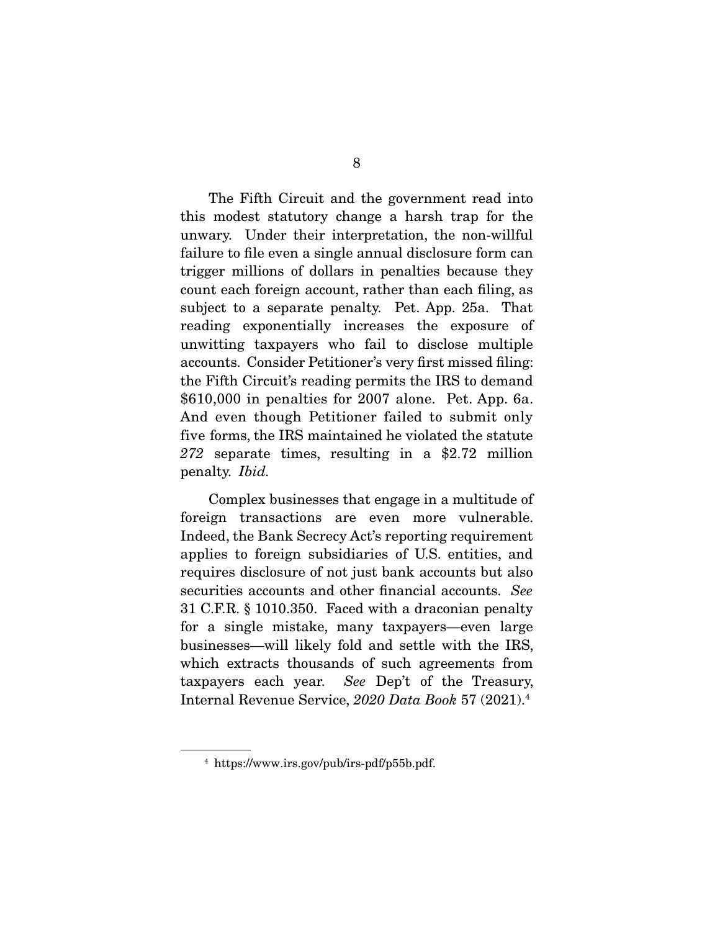The Fifth Circuit and the government read into<br>this modest statutory change a harsh trap for the unwary. Under their interpretation, the non-willful failure to file even a single annual disclosure form can trigger millions of dollars in penalties because they count each foreign account, rather than each filing, as subject to a separate penalty. Pet. App. 25a. That reading exponentially increases the exposure of. unwitting taxpayers who fail to disclose multiple accounts. Consider Petitioner's very first missed filing: the Fifth Circuit's reading permits the IRS to demand  $$610,000$  in penalties for 2007 alone. Pet. App. 6a. And even though Petitioner failed to submit only five forms, the IRS maintained he violated the statute 272 separate times, resulting in a  $$2.72$  million penalty. Ibid.

Complex businesses that engage in a multitude of<br>foreign transactions are even more vulnerable. Indeed, the Bank Secrecy Act's reporting requirement applies to foreign subsidiaries of U.S. entities, and requires disclosure of not just bank accounts but also securities accounts and other financial accounts. See 31 C.F.R. § 1010.350. Faced with a draconian penalty businesses—will likely fold and settle with the IRS, which extracts thousands of such agreements from taxpayers each year. See Dep't of the Treasury, taxpayers each year. See Dep't of the Treasury,<br>Internal Boyanue Service 2020 Data Book 57 (2021) 4 Internal Revenue Service, 2020 Data Book 57 (2021).<sup>4</sup>

<sup>4</sup> https://www.irs.gov/pub/irs-pdf/p55b.pdf.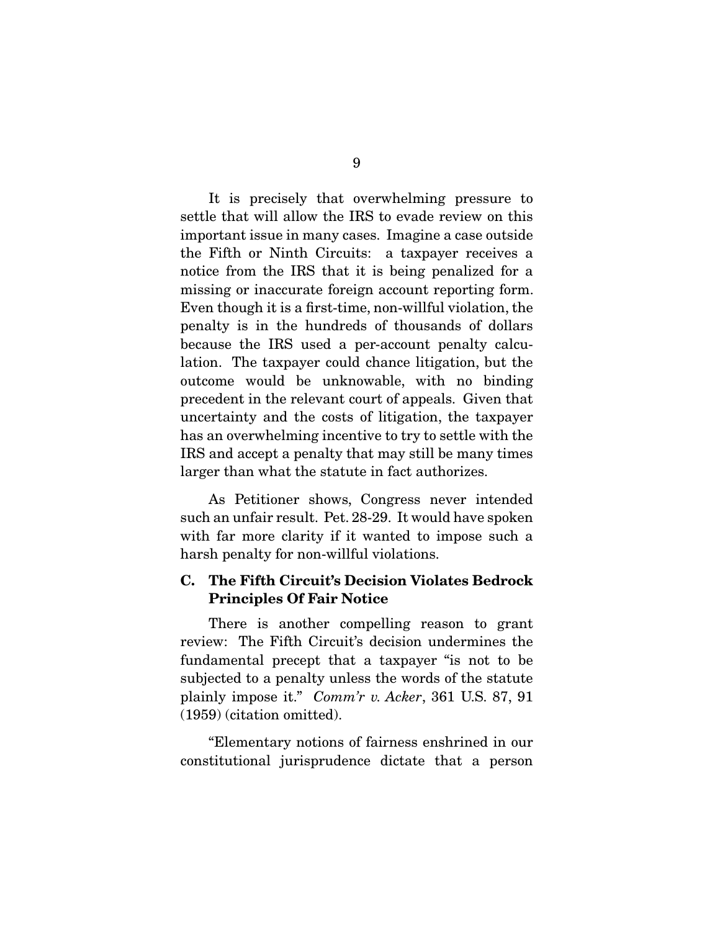It is precisely that overwhelming pressure to settle that will allow the IRS to evade review on this important issue in many cases. Imagine a case outside the Fifth or Ninth Circuits: a taxpayer receives a notice from the IRS that it is being penalized for a missing or inaccurate foreign account reporting form. Even though it is a first-time, non-willful violation, the penalty is in the hundreds of thousands of dollars because the IRS used a per-account penalty calculation. The taxpayer could chance litigation, but the outcome would be unknowable, with no binding precedent in the relevant court of appeals. Given that uncertainty and the costs of litigation, the taxpayer has an overwhelming incentive to try to settle with the IRS and accept a penalty that may still be many times larger than what the statute in fact authorizes. larger than what the statute in fact authorizes.

As Petitioner shows, Congress never intended<br>such an unfair result. Pet. 28-29. It would have spoken with far more clarity if it wanted to impose such a harsh penalty for non-willful violations. harsh penalty for non-willful violations.

#### **C. The Fifth Circuit's Decision Violates Bedrock Principles Of Fair Notice**

There is another compelling reason to grant<br>review: The Fifth Circuit's decision undermines the fundamental precept that a taxpayer "is not to be subjected to a penalty unless the words of the statute plainly impose it."  $Comm'r$  v. Acker, 361 U.S. 87, 91 (1959) (citation emitted)  $(195)$  (citation omitted).

constitutional iurisprudence dictate that a person constitutional jurisprudence dictate that a person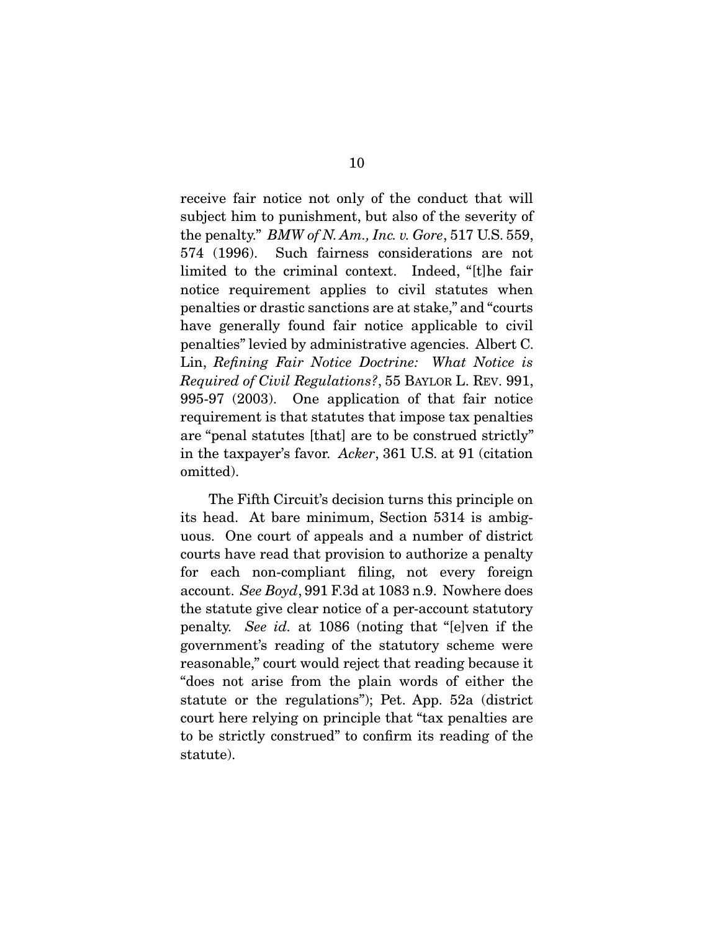receive fair notice not only of the conduct that will subject him to punishment, but also of the severity of the penalty."  $BMW$  of N. Am., Inc. v. Gore, 517 U.S. 559, 574 (1996). Such fairness considerations are not notice requirement applies to civil statutes when penalties or drastic sanctions are at stake," and "courts" have generally found fair notice applicable to civil penalties" levied by administrative agencies. Albert C. penalties" levieling minimistrative agencies. These is<br>Lin, Refining Fair Notice Doctrine: What Notice is<br>Required of Civil Begulations? 55 BAN OP L. BEV. 991 Required of Civil Regulations?, 55 BAYLOR L. REV. 991,<br>995-97 (2003). One application of that fair notice requirement is that statutes that impose tax penalties are "penal statutes [that] are to be construed strictly" in the taxpayer's favor. Acker, 361 U.S. at 91 (citation  $\frac{1}{\sqrt{2}}$ ) omitted).

The Fifth Circuit's decision turns this principle on its head. At bare minimum, Section 5314 is ambiguous. One court of appeals and a number of district courts have read that provision to authorize a penalty for each non-compliant filing, not every foreign  $f_{\text{re}}$  account. See Boyd, 991 F.3d at 1083 n.9. Nowhere does  $t_{\text{rel}}$  penalty. See id. at 1086 (noting that "[e]ven if the several statutory school. government's reading of the statutory scheme were "does not arise from the plain words of either the statute or the regulations"); Pet. App.  $52a$  (district court here relying on principle that "tax penalties are court here rely ing on principle that "tax permisses are"  $\frac{1}{\sqrt{2}}$  to  $\frac{1}{\sqrt{2}}$  the construction is reading of the construction is reading of the confidence of the confidence of the continuous set of the continuous set of the continuous set of the continuous set of the co statute).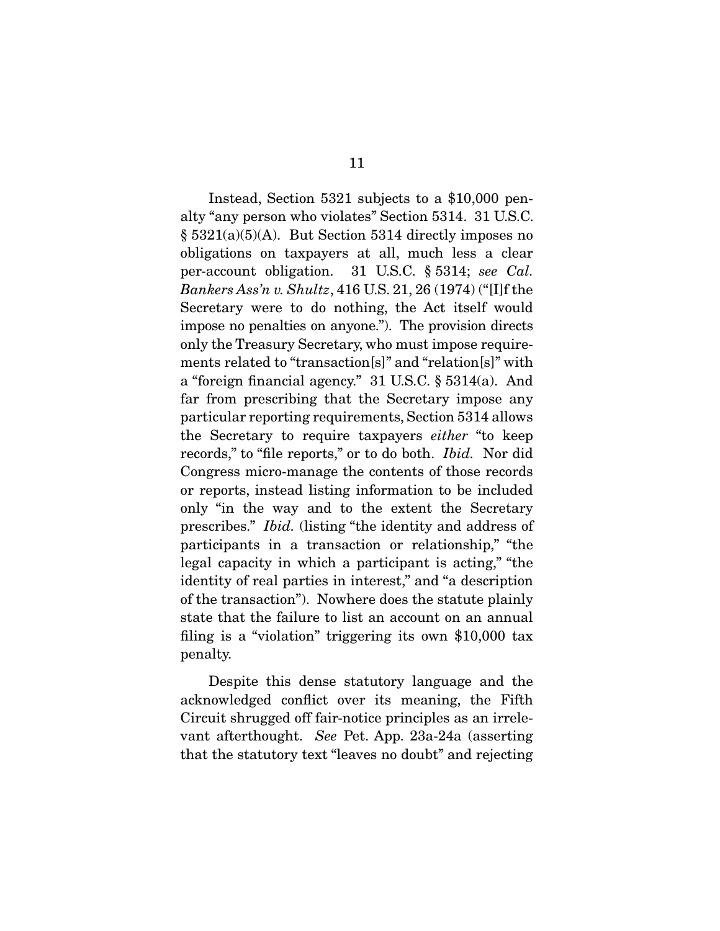Instead, Section 5321 subjects to a \$10,000 penalty "any person who violates" Section 5314. 31 U.S.C.  $\S 5321(a)(5)(A)$ . But Section 5314 directly imposes no obligations on taxpayers at all, much less a clear per-account obligation. 31 U.S.C.  $\S 5314$ ; see Cal. per-account obligation. 31 U.S.C.  $\S 5314$ ; see Cal.<br>Bankara Asa'n u Shultz 416 U.S. 21, 26 (1974) ("Ulf the Bankers Ass'n v. Shultz,  $416$  U.S.  $21$ ,  $26$  ( $1974$ ) ("[I]f the Secretary were to do nothing, the Act itself would impose no penalties on anyone."). The provision directs only the Treasury Secretary, who must impose requirements related to "transaction[s]" and "relation[s]" with a "foreign financial agency."  $31$  U.S.C.  $\S 5314(a)$ . And far from prescribing that the Secretary impose any. particular reporting requirements, Section 5314 allows the Secretary to require taxpayers *either* "to keep recepts," to "file reports," or to do both *Ibid*. Nor did records," to "file reports," or to do both. *Ibid.* Nor did Congress micro-manage the contents of those records or reports, instead listing information to be included only "in the way and to the extent the Secretary prescribes." *Ibid.* (listing "the identity and address of participants in a transaction or relationship." "the participants in a transaction or relationship," "the legal capacity in which a participant is acting," "the identity of real parties in interest," and "a description of the transaction"). Nowhere does the statute plainly state that the failure to list an account on an annual filing is a "violation" triggering its own  $$10,000$  tax  $\frac{1}{2}$  is a violation trianglering in the trianglering in  $\frac{1}{2}$ penalty.

Despite this dense statutory language and the acknowledged conflict over its meaning, the Fifth Circuit shrugged off fair-notice principles as an irrelevant afterthought. See Pet. App. 23a-24a (asserting<br>that the statutory toxt "leaves no doubt" and rejecting that the statutory text "leaves no doubt" and rejecting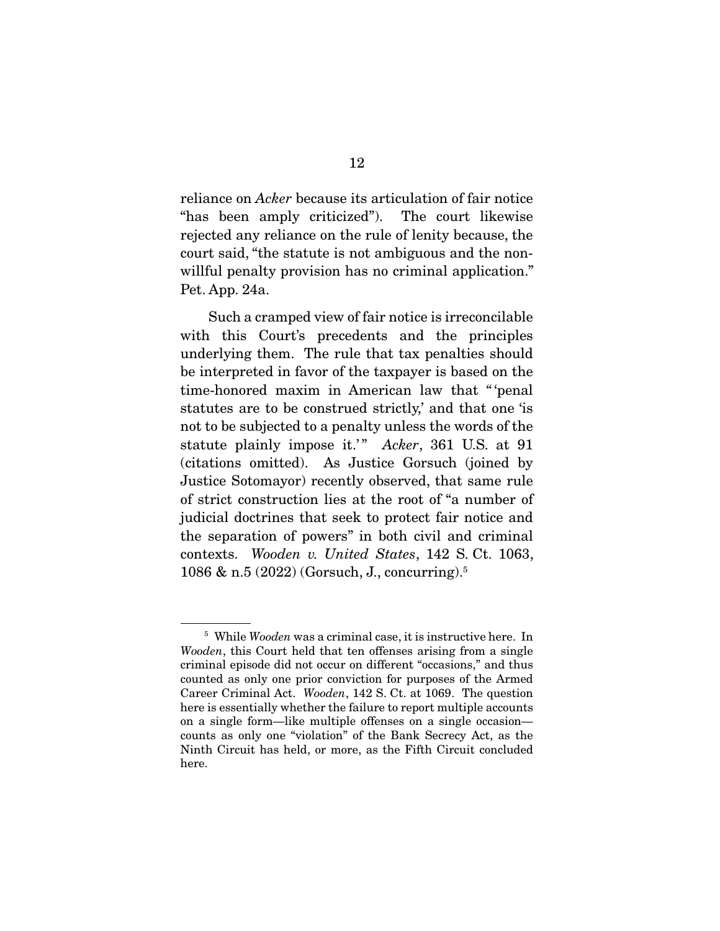reliance on *Acker* because its articulation of fair notice<br>"has been amply criticized"). The court likewise rejected any reliance on the rule of lenity because, the court said, "the statute is not ambiguous and the nonwillful penalty provision has no criminal application."  $\frac{1}{2}$  per  $\frac{1}{2}$  per  $\frac{1}{2}$  per  $\frac{1}{2}$  per  $\frac{1}{2}$  per  $\frac{1}{2}$  per  $\frac{1}{2}$  per  $\frac{1}{2}$  per  $\frac{1}{2}$  per  $\frac{1}{2}$  per  $\frac{1}{2}$  per  $\frac{1}{2}$  per  $\frac{1}{2}$  per  $\frac{1}{2}$  per  $\frac{1}{2}$  per  $\frac{1}{2}$  p Pet. App. 24a.

Such a cramped view of fair notice is irreconcilable<br>with this Court's precedents and the principles underlying them. The rule that tax penalties should be interpreted in favor of the taxpayer is based on the time-honored maxim in American law that "'penal statutes are to be construed strictly,' and that one 'is not to be subjected to a penalty unless the words of the statute plainly impose it.'"  $Acker$ , 361 U.S. at 91<br>(citations omitted) As Justice Gersuch (joined by (citations omitted). As Justice Gorsuch (joined by of strict construction lies at the root of "a number of judicial doctrines that seek to protect fair notice and the separation of powers" in both civil and criminal the separation of powers in both contexts. Wooden v. United States, 142 S. Ct. 1063, 1086 & n.5 (2022) (Gorsuch, J., concurring).5

<sup>&</sup>lt;sup>5</sup> While Wooden was a criminal case, it is instructive here. In Wooden, this Court held that ten offenses arising from a single criminal episode did not occur on different "occasions," and thus counted as only one prior conviction for purposes of the Armed Career Criminal Act. Wooden, 142 S. Ct. at 1069. The question<br>here is essentially whether the failure to report multiple accounts here is essentially whether the failure to report multiple accounts<br>on a single form—like multiple offenses on a single occasion counts as only one "violation" of the Bank Secrecy Act, as the counts as only one "violation" of the name secrecy are, as the United Ninth Circuit has held, or more, as the Fifth Circuit concluded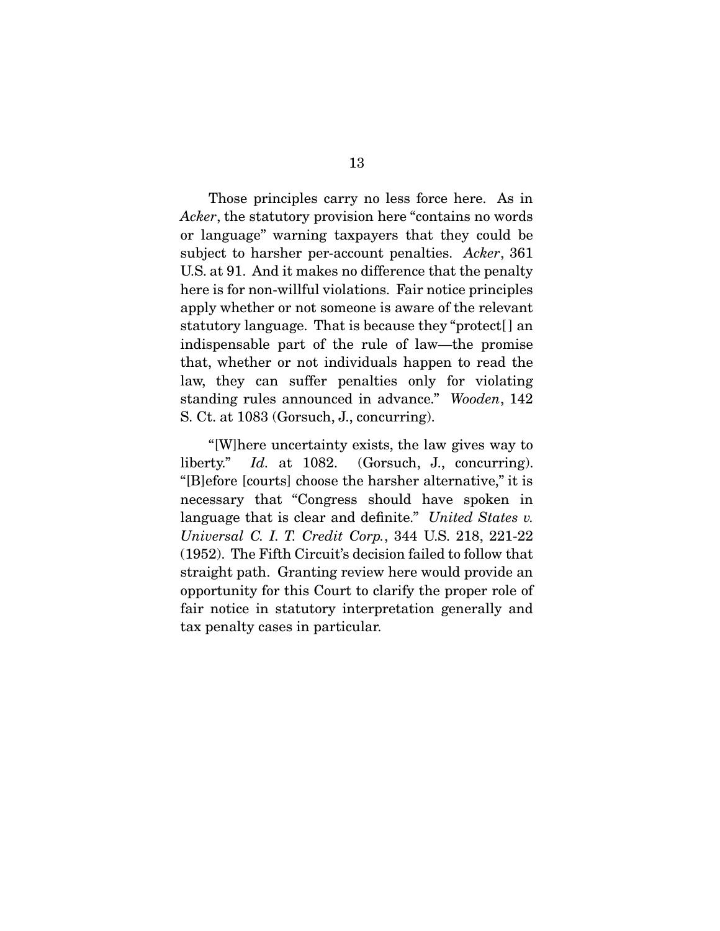Acker, the statutory provision here "contains no words"  $\alpha$  is a in provision here. subject to harsher per-account penalties. Acker, 361 U.S. at 91. And it makes no difference that the penalty here is for non-willful violations. Fair notice principles apply whether or not someone is aware of the relevant statutory language. That is because they "protect[] an indispensable part of the rule of law—the promise that, whether or not individuals happen to read the law, they can suffer penalties only for violating standing rules announced in advance." Wooden,  $142$ S. Ct. at 1083 (Gorsuch, J., concurring).

"[W]here uncertainty exists, the law gives way to liberty."  $Id.$  at 1082. (Gorsuch, J., concurring). "[B] efore [courts] choose the harsher alternative," it is necessary that "Congress should have spoken in language that is clear and definite." United States v.<br>Liniuscal C. J. T. Credit Corp. 344 US. 218, 221, 22 Universal C. I. T. Credit Corp., 344 U.S. 218, 221-22 (1952). The Fifth Circuit's decision failed to follow that straight path. Granting review here would provide an opportunity for this Court to clarify the proper role of fair notice in statutory interpretation generally and tax penalty cases in particular.  $\mathbf{r}$  is  $\mathbf{r}$  in particular.